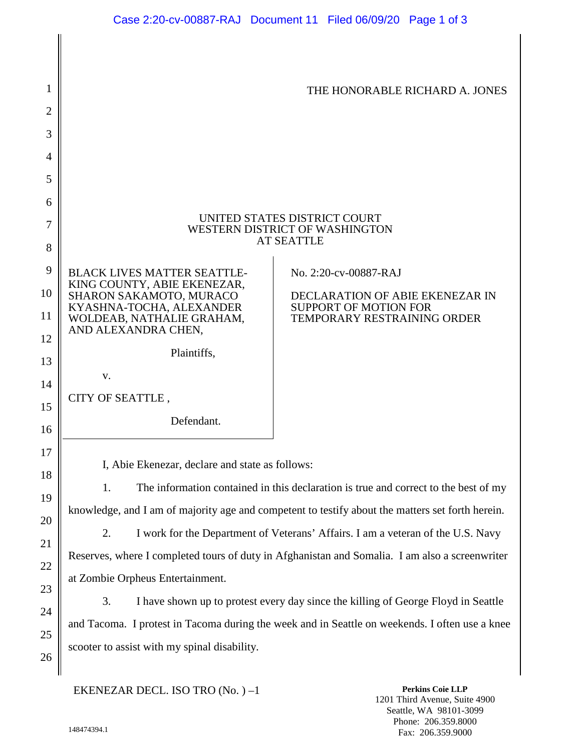| 1<br>2                         |                                                                                                  | THE HONORABLE RICHARD A. JONES                              |
|--------------------------------|--------------------------------------------------------------------------------------------------|-------------------------------------------------------------|
| 3                              |                                                                                                  |                                                             |
| 4                              |                                                                                                  |                                                             |
| 5                              |                                                                                                  |                                                             |
| 6<br>7                         | UNITED STATES DISTRICT COURT<br>WESTERN DISTRICT OF WASHINGTON<br><b>AT SEATTLE</b>              |                                                             |
| 8                              |                                                                                                  |                                                             |
| 9<br>$\boldsymbol{0}$          | <b>BLACK LIVES MATTER SEATTLE-</b><br>KING COUNTY, ABIE EKENEZAR,<br>SHARON SAKAMOTO, MURACO     | No. 2:20-cv-00887-RAJ<br>DECLARATION OF ABIE EKENEZAR IN    |
| $\mathbf{1}$<br>$\overline{2}$ | KYASHNA-TOCHA, ALEXANDER<br>WOLDEAB, NATHALIE GRAHAM,<br>AND ALEXANDRA CHEN,                     | <b>SUPPORT OF MOTION FOR</b><br>TEMPORARY RESTRAINING ORDER |
| 3                              | Plaintiffs,                                                                                      |                                                             |
| 4                              | V.                                                                                               |                                                             |
| 5                              | CITY OF SEATTLE,                                                                                 |                                                             |
| 6                              | Defendant.                                                                                       |                                                             |
| 7<br>8                         | I, Abie Ekenezar, declare and state as follows:                                                  |                                                             |
| 9                              | 1.<br>The information contained in this declaration is true and correct to the best of my        |                                                             |
| $20^{\circ}$                   | knowledge, and I am of majority age and competent to testify about the matters set forth herein. |                                                             |
| $^{21}$                        | 2.<br>I work for the Department of Veterans' Affairs. I am a veteran of the U.S. Navy            |                                                             |
| $\overline{2}$                 | Reserves, where I completed tours of duty in Afghanistan and Somalia. I am also a screenwriter   |                                                             |
| $\overline{3}$                 | at Zombie Orpheus Entertainment.                                                                 |                                                             |

3. I have shown up to protest every day since the killing of George Floyd in Seattle and Tacoma. I protest in Tacoma during the week and in Seattle on weekends. I often use a knee scooter to assist with my spinal disability.

EKENEZAR DECL. ISO TRO (No. ) –1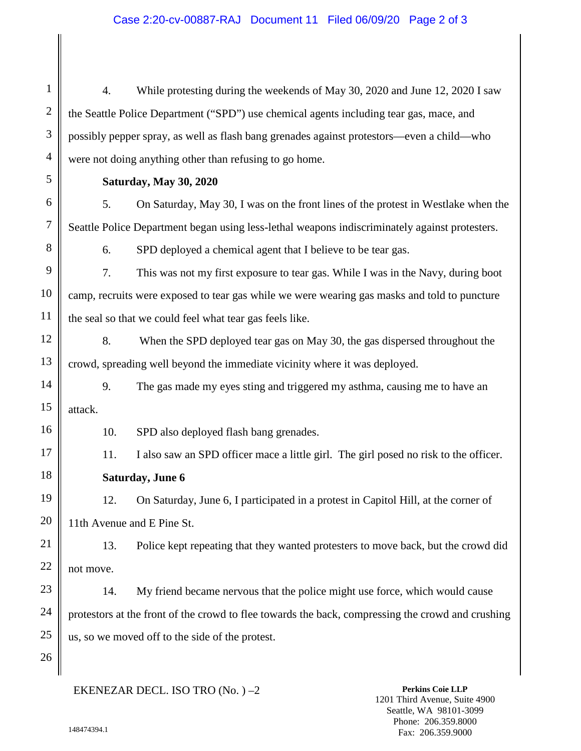## Case 2:20-cv-00887-RAJ Document 11 Filed 06/09/20 Page 2 of 3

4. While protesting during the weekends of May 30, 2020 and June 12, 2020 I saw the Seattle Police Department ("SPD") use chemical agents including tear gas, mace, and possibly pepper spray, as well as flash bang grenades against protestors—even a child—who were not doing anything other than refusing to go home.

**Saturday, May 30, 2020**

1

2

3

4

5

6

7

8

9

10

11

12

13

16

17

18

19

20

21

22

23

24

25

26

5. On Saturday, May 30, I was on the front lines of the protest in Westlake when the Seattle Police Department began using less-lethal weapons indiscriminately against protesters.

6. SPD deployed a chemical agent that I believe to be tear gas.

7. This was not my first exposure to tear gas. While I was in the Navy, during boot camp, recruits were exposed to tear gas while we were wearing gas masks and told to puncture the seal so that we could feel what tear gas feels like.

8. When the SPD deployed tear gas on May 30, the gas dispersed throughout the crowd, spreading well beyond the immediate vicinity where it was deployed.

14 15 9. The gas made my eyes sting and triggered my asthma, causing me to have an attack.

10. SPD also deployed flash bang grenades.

11. I also saw an SPD officer mace a little girl. The girl posed no risk to the officer. **Saturday, June 6**

12. On Saturday, June 6, I participated in a protest in Capitol Hill, at the corner of 11th Avenue and E Pine St.

13. Police kept repeating that they wanted protesters to move back, but the crowd did not move.

14. My friend became nervous that the police might use force, which would cause protestors at the front of the crowd to flee towards the back, compressing the crowd and crushing us, so we moved off to the side of the protest.

EKENEZAR DECL. ISO TRO (No. ) –2

**Perkins Coie LLP** 1201 Third Avenue, Suite 4900 Seattle, WA 98101-3099 Phone: 206.359.8000 Fax: 206.359.9000